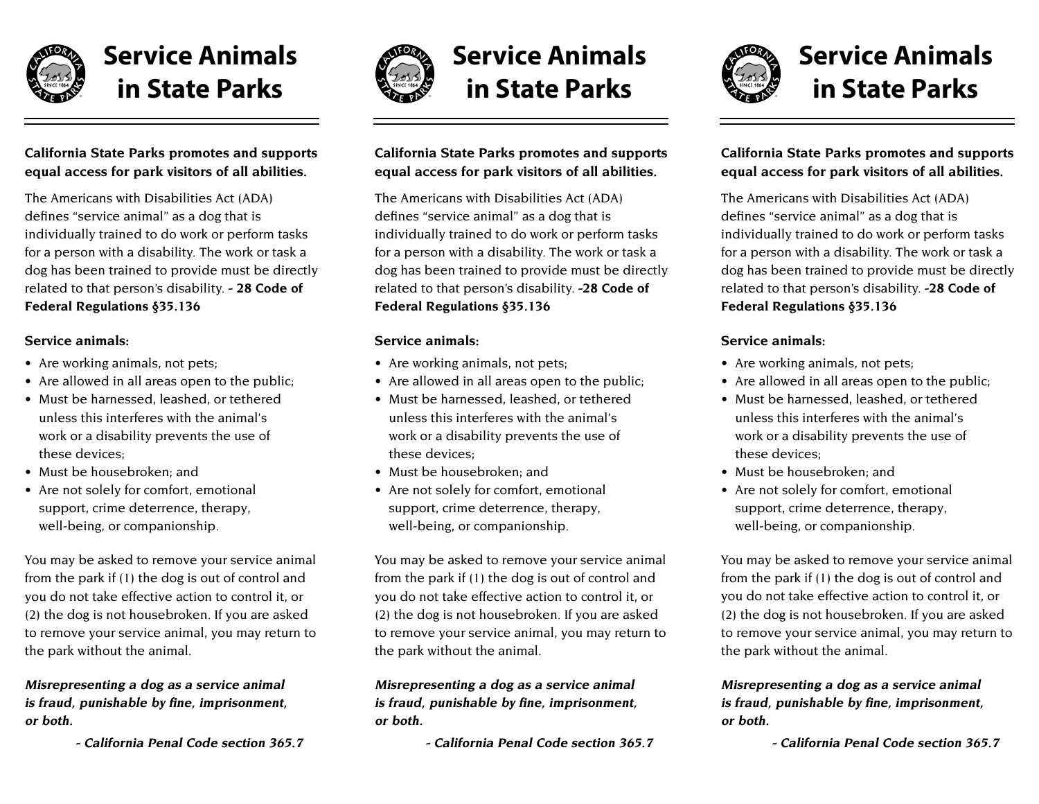

# **Service Animals in State Parks**

## **California State Parks promotes and supports equal access for park visitors of all abilities.**

The Americans with Disabilities Act (ADA) defines "service animal" as a dog that is individually trained to do work or perform tasks for a person with a disability. The work or task a dog has been trained to provide must be directly related to that person's disability. **-28 Code of Federal Regulations §35.136**

### **Service animals:**

- Are working animals, not pets;
- Are allowed in all areas open to the public;
- Must be harnessed, leashed, or tethered unless this interferes with the animal's work or a disability prevents the use of these devices;
- Must be housebroken; and
- Are not solely for comfort, emotional support, crime deterrence, therapy, well-being, or companionship.

You may be asked to remove your service animal from the park if (1) the dog is out of control and you do not take effective action to control it, or (2) the dog is not housebroken. If you are asked to remove your service animal, you may return to the park without the animal.

### **Misrepresenting a dog as a service animal is fraud, punishable by fine, imprisonment, or both.**

 **- California Penal Code section 365.7**